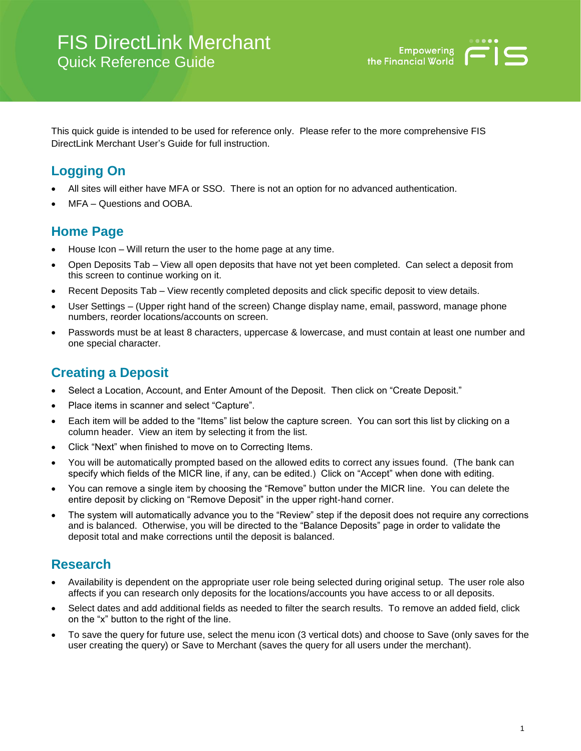

This quick guide is intended to be used for reference only. Please refer to the more comprehensive FIS DirectLink Merchant User's Guide for full instruction.

# **Logging On**

- All sites will either have MFA or SSO. There is not an option for no advanced authentication.
- MFA Questions and OOBA

#### **Home Page**

- House Icon Will return the user to the home page at any time.
- Open Deposits Tab View all open deposits that have not yet been completed. Can select a deposit from this screen to continue working on it.
- Recent Deposits Tab View recently completed deposits and click specific deposit to view details.
- User Settings (Upper right hand of the screen) Change display name, email, password, manage phone numbers, reorder locations/accounts on screen.
- Passwords must be at least 8 characters, uppercase & lowercase, and must contain at least one number and one special character.

## **Creating a Deposit**

- Select a Location, Account, and Enter Amount of the Deposit. Then click on "Create Deposit."
- Place items in scanner and select "Capture".
- Each item will be added to the "Items" list below the capture screen. You can sort this list by clicking on a column header. View an item by selecting it from the list.
- Click "Next" when finished to move on to Correcting Items.
- You will be automatically prompted based on the allowed edits to correct any issues found. (The bank can specify which fields of the MICR line, if any, can be edited.) Click on "Accept" when done with editing.
- You can remove a single item by choosing the "Remove" button under the MICR line. You can delete the entire deposit by clicking on "Remove Deposit" in the upper right-hand corner.
- The system will automatically advance you to the "Review" step if the deposit does not require any corrections and is balanced. Otherwise, you will be directed to the "Balance Deposits" page in order to validate the deposit total and make corrections until the deposit is balanced.

### **Research**

- Availability is dependent on the appropriate user role being selected during original setup. The user role also affects if you can research only deposits for the locations/accounts you have access to or all deposits.
- Select dates and add additional fields as needed to filter the search results. To remove an added field, click on the "x" button to the right of the line.
- To save the query for future use, select the menu icon (3 vertical dots) and choose to Save (only saves for the user creating the query) or Save to Merchant (saves the query for all users under the merchant).